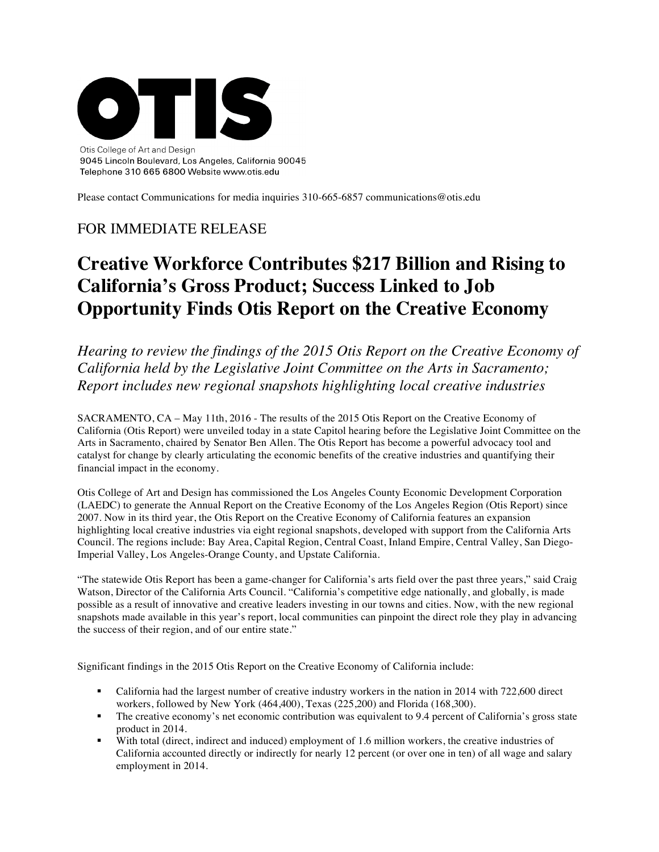

Please contact Communications for media inquiries 310-665-6857 communications@otis.edu

# FOR IMMEDIATE RELEASE

# **Creative Workforce Contributes \$217 Billion and Rising to California's Gross Product; Success Linked to Job Opportunity Finds Otis Report on the Creative Economy**

*Hearing to review the findings of the 2015 Otis Report on the Creative Economy of California held by the Legislative Joint Committee on the Arts in Sacramento; Report includes new regional snapshots highlighting local creative industries*

SACRAMENTO, CA – May 11th, 2016 - The results of the 2015 Otis Report on the Creative Economy of California (Otis Report) were unveiled today in a state Capitol hearing before the Legislative Joint Committee on the Arts in Sacramento, chaired by Senator Ben Allen. The Otis Report has become a powerful advocacy tool and catalyst for change by clearly articulating the economic benefits of the creative industries and quantifying their financial impact in the economy.

Otis College of Art and Design has commissioned the Los Angeles County Economic Development Corporation (LAEDC) to generate the Annual Report on the Creative Economy of the Los Angeles Region (Otis Report) since 2007. Now in its third year, the Otis Report on the Creative Economy of California features an expansion highlighting local creative industries via eight regional snapshots, developed with support from the California Arts Council. The regions include: Bay Area, Capital Region, Central Coast, Inland Empire, Central Valley, San Diego-Imperial Valley, Los Angeles-Orange County, and Upstate California.

"The statewide Otis Report has been a game-changer for California's arts field over the past three years," said Craig Watson, Director of the California Arts Council. "California's competitive edge nationally, and globally, is made possible as a result of innovative and creative leaders investing in our towns and cities. Now, with the new regional snapshots made available in this year's report, local communities can pinpoint the direct role they play in advancing the success of their region, and of our entire state."

Significant findings in the 2015 Otis Report on the Creative Economy of California include:

- California had the largest number of creative industry workers in the nation in 2014 with 722,600 direct workers, followed by New York (464,400), Texas (225,200) and Florida (168,300).
- The creative economy's net economic contribution was equivalent to 9.4 percent of California's gross state product in 2014.
- With total (direct, indirect and induced) employment of 1.6 million workers, the creative industries of California accounted directly or indirectly for nearly 12 percent (or over one in ten) of all wage and salary employment in 2014.